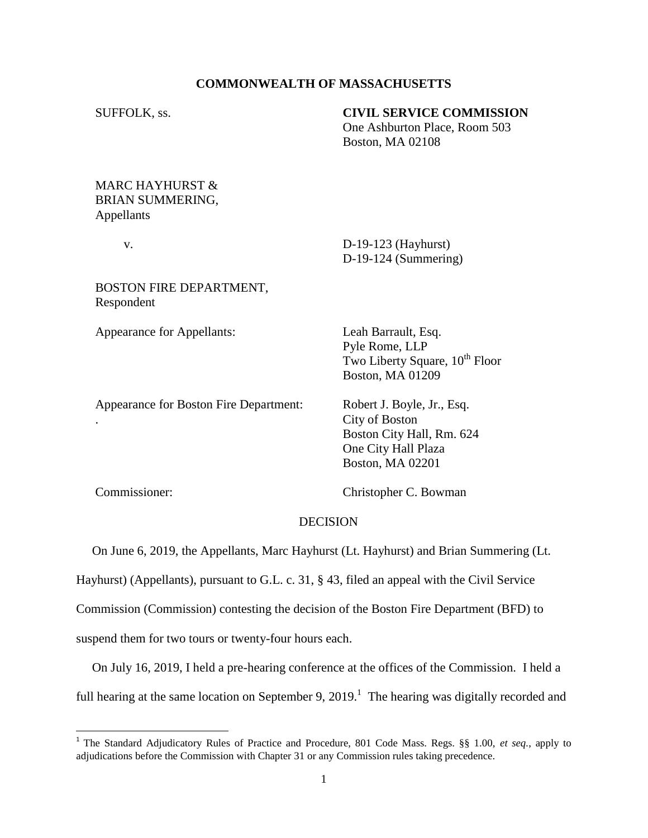### **COMMONWEALTH OF MASSACHUSETTS**

#### SUFFOLK, ss. **CIVIL SERVICE COMMISSION**

One Ashburton Place, Room 503 Boston, MA 02108

## MARC HAYHURST & BRIAN SUMMERING, Appellants

 v. D-19-123 (Hayhurst) D-19-124 (Summering)

BOSTON FIRE DEPARTMENT, Respondent

Appearance for Appellants: Leah Barrault, Esq.

Pyle Rome, LLP Two Liberty Square,  $10^{th}$  Floor Boston, MA 01209

Appearance for Boston Fire Department: Robert J. Boyle, Jr., Esq.

. City of Boston Boston City Hall, Rm. 624 One City Hall Plaza Boston, MA 02201

Commissioner: Christopher C. Bowman

#### DECISION

On June 6, 2019, the Appellants, Marc Hayhurst (Lt. Hayhurst) and Brian Summering (Lt.

Hayhurst) (Appellants), pursuant to G.L. c. 31, § 43, filed an appeal with the Civil Service

Commission (Commission) contesting the decision of the Boston Fire Department (BFD) to

suspend them for two tours or twenty-four hours each.

 On July 16, 2019, I held a pre-hearing conference at the offices of the Commission. I held a full hearing at the same location on September 9, 2019.<sup>1</sup> The hearing was digitally recorded and

 1 The Standard Adjudicatory Rules of Practice and Procedure, 801 Code Mass. Regs. §§ 1.00, *et seq.*, apply to adjudications before the Commission with Chapter 31 or any Commission rules taking precedence.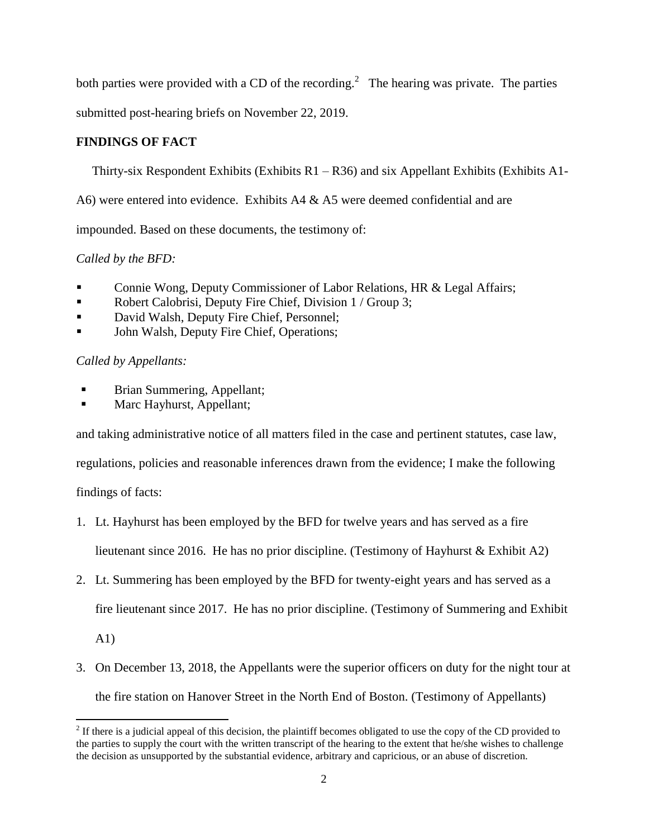both parties were provided with a CD of the recording.<sup>2</sup> The hearing was private. The parties

submitted post-hearing briefs on November 22, 2019.

# **FINDINGS OF FACT**

Thirty-six Respondent Exhibits (Exhibits  $R1 - R36$ ) and six Appellant Exhibits (Exhibits A1-

A6) were entered into evidence. Exhibits  $A4 \& A5$  were deemed confidential and are

impounded. Based on these documents, the testimony of:

*Called by the BFD:*

- Connie Wong, Deputy Commissioner of Labor Relations, HR & Legal Affairs;
- Robert Calobrisi, Deputy Fire Chief, Division 1 / Group 3;
- David Walsh, Deputy Fire Chief, Personnel;
- **John Walsh, Deputy Fire Chief, Operations;**

# *Called by Appellants:*

- Brian Summering, Appellant;
- Marc Hayhurst, Appellant;

and taking administrative notice of all matters filed in the case and pertinent statutes, case law,

regulations, policies and reasonable inferences drawn from the evidence; I make the following

findings of facts:

- 1. Lt. Hayhurst has been employed by the BFD for twelve years and has served as a fire lieutenant since 2016. He has no prior discipline. (Testimony of Hayhurst & Exhibit A2)
- 2. Lt. Summering has been employed by the BFD for twenty-eight years and has served as a fire lieutenant since 2017. He has no prior discipline. (Testimony of Summering and Exhibit

A1)

 $\overline{\phantom{a}}$ 

3. On December 13, 2018, the Appellants were the superior officers on duty for the night tour at the fire station on Hanover Street in the North End of Boston. (Testimony of Appellants)

 $2<sup>2</sup>$  If there is a judicial appeal of this decision, the plaintiff becomes obligated to use the copy of the CD provided to the parties to supply the court with the written transcript of the hearing to the extent that he/she wishes to challenge the decision as unsupported by the substantial evidence, arbitrary and capricious, or an abuse of discretion.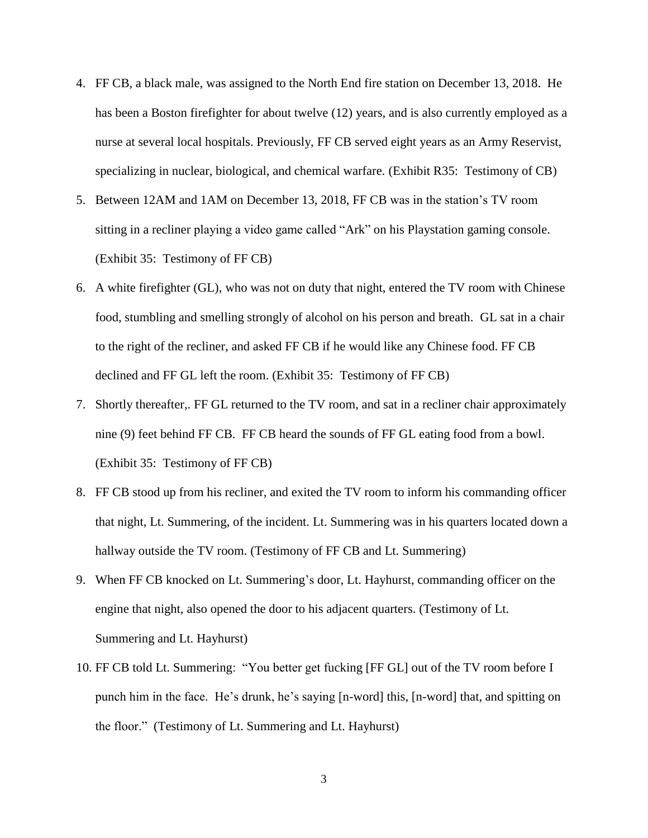- 4. FF CB, a black male, was assigned to the North End fire station on December 13, 2018. He has been a Boston firefighter for about twelve (12) years, and is also currently employed as a nurse at several local hospitals. Previously, FF CB served eight years as an Army Reservist, specializing in nuclear, biological, and chemical warfare. (Exhibit R35: Testimony of CB)
- 5. Between 12AM and 1AM on December 13, 2018, FF CB was in the station's TV room sitting in a recliner playing a video game called "Ark" on his Playstation gaming console. (Exhibit 35: Testimony of FF CB)
- 6. A white firefighter (GL), who was not on duty that night, entered the TV room with Chinese food, stumbling and smelling strongly of alcohol on his person and breath. GL sat in a chair to the right of the recliner, and asked FF CB if he would like any Chinese food. FF CB declined and FF GL left the room. (Exhibit 35: Testimony of FF CB)
- 7. Shortly thereafter,. FF GL returned to the TV room, and sat in a recliner chair approximately nine (9) feet behind FF CB. FF CB heard the sounds of FF GL eating food from a bowl. (Exhibit 35: Testimony of FF CB)
- 8. FF CB stood up from his recliner, and exited the TV room to inform his commanding officer that night, Lt. Summering, of the incident. Lt. Summering was in his quarters located down a hallway outside the TV room. (Testimony of FF CB and Lt. Summering)
- 9. When FF CB knocked on Lt. Summering's door, Lt. Hayhurst, commanding officer on the engine that night, also opened the door to his adjacent quarters. (Testimony of Lt. Summering and Lt. Hayhurst)
- 10. FF CB told Lt. Summering: "You better get fucking [FF GL] out of the TV room before I punch him in the face. He's drunk, he's saying [n-word] this, [n-word] that, and spitting on the floor." (Testimony of Lt. Summering and Lt. Hayhurst)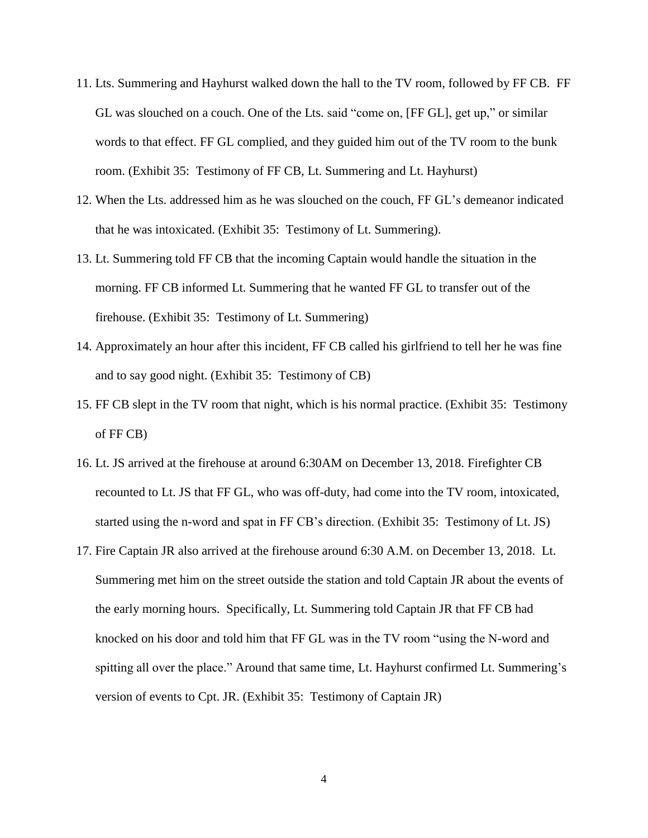- 11. Lts. Summering and Hayhurst walked down the hall to the TV room, followed by FF CB. FF GL was slouched on a couch. One of the Lts. said "come on, [FF GL], get up," or similar words to that effect. FF GL complied, and they guided him out of the TV room to the bunk room. (Exhibit 35: Testimony of FF CB, Lt. Summering and Lt. Hayhurst)
- 12. When the Lts. addressed him as he was slouched on the couch, FF GL's demeanor indicated that he was intoxicated. (Exhibit 35: Testimony of Lt. Summering).
- 13. Lt. Summering told FF CB that the incoming Captain would handle the situation in the morning. FF CB informed Lt. Summering that he wanted FF GL to transfer out of the firehouse. (Exhibit 35: Testimony of Lt. Summering)
- 14. Approximately an hour after this incident, FF CB called his girlfriend to tell her he was fine and to say good night. (Exhibit 35: Testimony of CB)
- 15. FF CB slept in the TV room that night, which is his normal practice. (Exhibit 35: Testimony of FF CB)
- 16. Lt. JS arrived at the firehouse at around 6:30AM on December 13, 2018. Firefighter CB recounted to Lt. JS that FF GL, who was off-duty, had come into the TV room, intoxicated, started using the n-word and spat in FF CB's direction. (Exhibit 35: Testimony of Lt. JS)
- 17. Fire Captain JR also arrived at the firehouse around 6:30 A.M. on December 13, 2018. Lt. Summering met him on the street outside the station and told Captain JR about the events of the early morning hours. Specifically, Lt. Summering told Captain JR that FF CB had knocked on his door and told him that FF GL was in the TV room "using the N-word and spitting all over the place." Around that same time, Lt. Hayhurst confirmed Lt. Summering's version of events to Cpt. JR. (Exhibit 35: Testimony of Captain JR)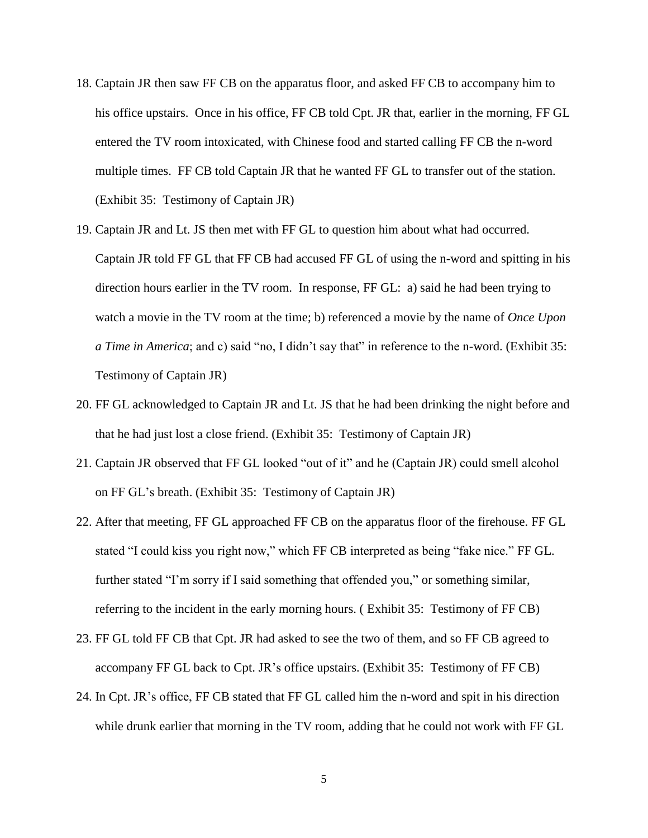- 18. Captain JR then saw FF CB on the apparatus floor, and asked FF CB to accompany him to his office upstairs. Once in his office, FF CB told Cpt. JR that, earlier in the morning, FF GL entered the TV room intoxicated, with Chinese food and started calling FF CB the n-word multiple times. FF CB told Captain JR that he wanted FF GL to transfer out of the station. (Exhibit 35: Testimony of Captain JR)
- 19. Captain JR and Lt. JS then met with FF GL to question him about what had occurred. Captain JR told FF GL that FF CB had accused FF GL of using the n-word and spitting in his direction hours earlier in the TV room. In response, FF GL: a) said he had been trying to watch a movie in the TV room at the time; b) referenced a movie by the name of *Once Upon a Time in America*; and c) said "no, I didn't say that" in reference to the n-word. (Exhibit 35: Testimony of Captain JR)
- 20. FF GL acknowledged to Captain JR and Lt. JS that he had been drinking the night before and that he had just lost a close friend. (Exhibit 35: Testimony of Captain JR)
- 21. Captain JR observed that FF GL looked "out of it" and he (Captain JR) could smell alcohol on FF GL's breath. (Exhibit 35: Testimony of Captain JR)
- 22. After that meeting, FF GL approached FF CB on the apparatus floor of the firehouse. FF GL stated "I could kiss you right now," which FF CB interpreted as being "fake nice." FF GL. further stated "I'm sorry if I said something that offended you," or something similar, referring to the incident in the early morning hours. ( Exhibit 35: Testimony of FF CB)
- 23. FF GL told FF CB that Cpt. JR had asked to see the two of them, and so FF CB agreed to accompany FF GL back to Cpt. JR's office upstairs. (Exhibit 35: Testimony of FF CB)
- 24. In Cpt. JR's office, FF CB stated that FF GL called him the n-word and spit in his direction while drunk earlier that morning in the TV room, adding that he could not work with FF GL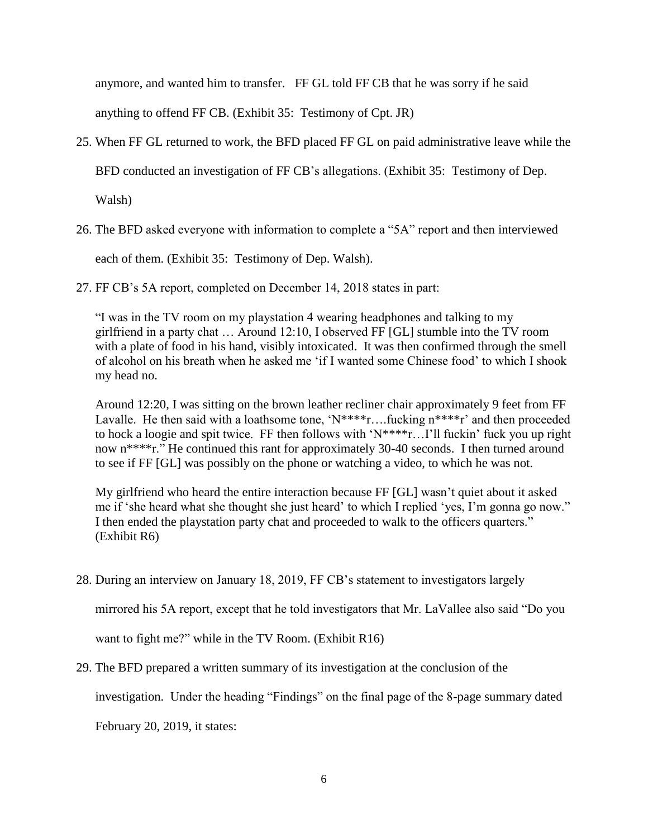anymore, and wanted him to transfer. FF GL told FF CB that he was sorry if he said

anything to offend FF CB. (Exhibit 35: Testimony of Cpt. JR)

25. When FF GL returned to work, the BFD placed FF GL on paid administrative leave while the

BFD conducted an investigation of FF CB's allegations. (Exhibit 35: Testimony of Dep.

Walsh)

26. The BFD asked everyone with information to complete a "5A" report and then interviewed

each of them. (Exhibit 35: Testimony of Dep. Walsh).

27. FF CB's 5A report, completed on December 14, 2018 states in part:

"I was in the TV room on my playstation 4 wearing headphones and talking to my girlfriend in a party chat … Around 12:10, I observed FF [GL] stumble into the TV room with a plate of food in his hand, visibly intoxicated. It was then confirmed through the smell of alcohol on his breath when he asked me 'if I wanted some Chinese food' to which I shook my head no.

Around 12:20, I was sitting on the brown leather recliner chair approximately 9 feet from FF Lavalle. He then said with a loathsome tone, ' $N***$ r....fucking  $n***$ r' and then proceeded to hock a loogie and spit twice. FF then follows with 'N\*\*\*\*r…I'll fuckin' fuck you up right now n\*\*\*\*r." He continued this rant for approximately 30-40 seconds. I then turned around to see if FF [GL] was possibly on the phone or watching a video, to which he was not.

My girlfriend who heard the entire interaction because FF [GL] wasn't quiet about it asked me if 'she heard what she thought she just heard' to which I replied 'yes, I'm gonna go now." I then ended the playstation party chat and proceeded to walk to the officers quarters." (Exhibit R6)

28. During an interview on January 18, 2019, FF CB's statement to investigators largely

mirrored his 5A report, except that he told investigators that Mr. LaVallee also said "Do you

want to fight me?" while in the TV Room. (Exhibit R16)

29. The BFD prepared a written summary of its investigation at the conclusion of the

investigation. Under the heading "Findings" on the final page of the 8-page summary dated

February 20, 2019, it states: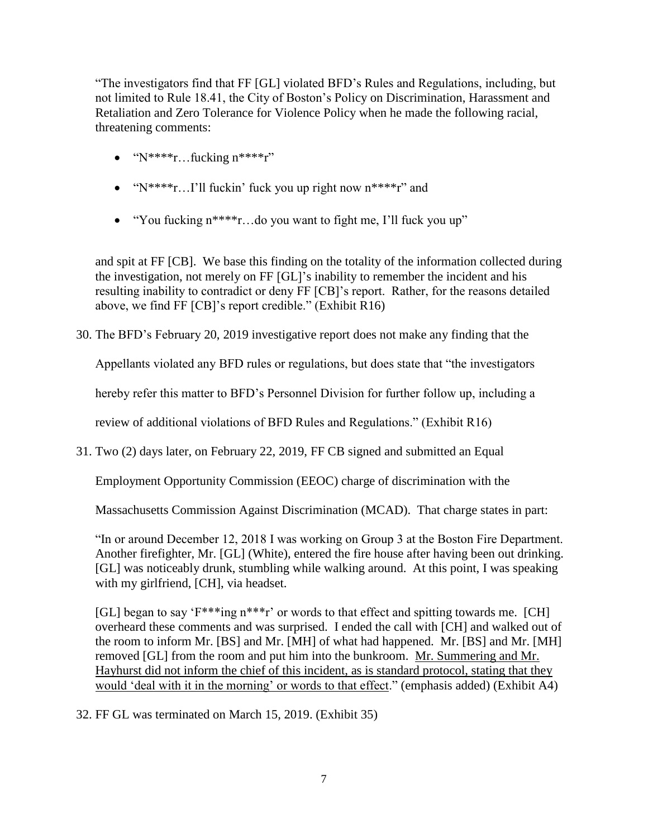"The investigators find that FF [GL] violated BFD's Rules and Regulations, including, but not limited to Rule 18.41, the City of Boston's Policy on Discrimination, Harassment and Retaliation and Zero Tolerance for Violence Policy when he made the following racial, threatening comments:

- $\bullet$  "N\*\*\*\*r...fucking  $n***r"$ "
- $\bullet$  "N\*\*\*\*r...I'll fuckin' fuck you up right now  $n***r$ " and
- "You fucking  $n^{***}r...$  do you want to fight me, I'll fuck you up"

and spit at FF [CB]. We base this finding on the totality of the information collected during the investigation, not merely on FF [GL]'s inability to remember the incident and his resulting inability to contradict or deny FF [CB]'s report. Rather, for the reasons detailed above, we find FF [CB]'s report credible." (Exhibit R16)

30. The BFD's February 20, 2019 investigative report does not make any finding that the

Appellants violated any BFD rules or regulations, but does state that "the investigators

hereby refer this matter to BFD's Personnel Division for further follow up, including a

review of additional violations of BFD Rules and Regulations." (Exhibit R16)

31. Two (2) days later, on February 22, 2019, FF CB signed and submitted an Equal

Employment Opportunity Commission (EEOC) charge of discrimination with the

Massachusetts Commission Against Discrimination (MCAD). That charge states in part:

"In or around December 12, 2018 I was working on Group 3 at the Boston Fire Department. Another firefighter, Mr. [GL] (White), entered the fire house after having been out drinking. [GL] was noticeably drunk, stumbling while walking around. At this point, I was speaking with my girlfriend, [CH], via headset.

[GL] began to say ' $F^{***}$ ing n\*\*\*r' or words to that effect and spitting towards me. [CH] overheard these comments and was surprised. I ended the call with [CH] and walked out of the room to inform Mr. [BS] and Mr. [MH] of what had happened. Mr. [BS] and Mr. [MH] removed [GL] from the room and put him into the bunkroom. Mr. Summering and Mr. Hayhurst did not inform the chief of this incident, as is standard protocol, stating that they would 'deal with it in the morning' or words to that effect." (emphasis added) (Exhibit A4)

32. FF GL was terminated on March 15, 2019. (Exhibit 35)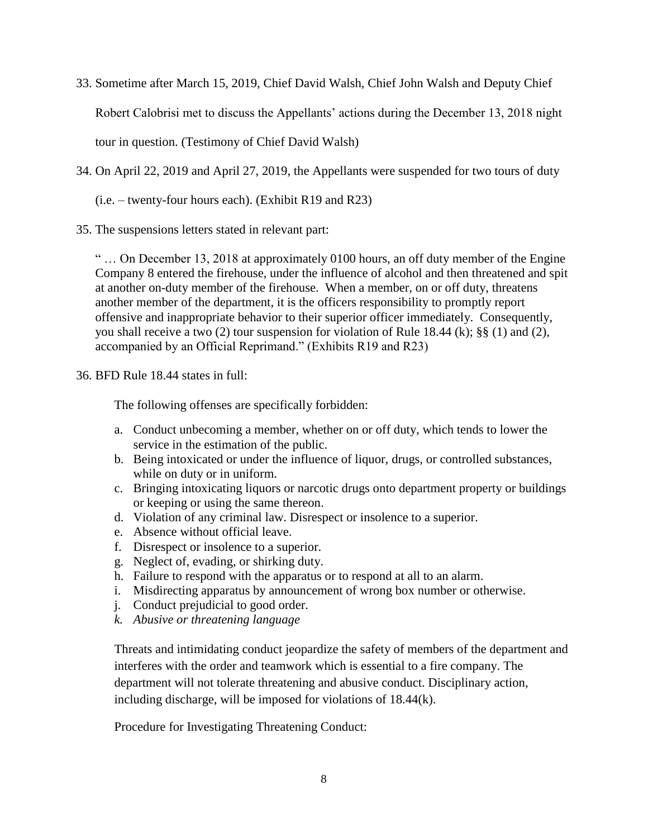33. Sometime after March 15, 2019, Chief David Walsh, Chief John Walsh and Deputy Chief

Robert Calobrisi met to discuss the Appellants' actions during the December 13, 2018 night

tour in question. (Testimony of Chief David Walsh)

34. On April 22, 2019 and April 27, 2019, the Appellants were suspended for two tours of duty

 $(i.e. - twenty-four hours each)$ . (Exhibit R19 and R23)

35. The suspensions letters stated in relevant part:

" … On December 13, 2018 at approximately 0100 hours, an off duty member of the Engine Company 8 entered the firehouse, under the influence of alcohol and then threatened and spit at another on-duty member of the firehouse. When a member, on or off duty, threatens another member of the department, it is the officers responsibility to promptly report offensive and inappropriate behavior to their superior officer immediately. Consequently, you shall receive a two (2) tour suspension for violation of Rule 18.44 (k); §§ (1) and (2), accompanied by an Official Reprimand." (Exhibits R19 and R23)

## 36. BFD Rule 18.44 states in full:

The following offenses are specifically forbidden:

- a. Conduct unbecoming a member, whether on or off duty, which tends to lower the service in the estimation of the public.
- b. Being intoxicated or under the influence of liquor, drugs, or controlled substances, while on duty or in uniform.
- c. Bringing intoxicating liquors or narcotic drugs onto department property or buildings or keeping or using the same thereon.
- d. Violation of any criminal law. Disrespect or insolence to a superior.
- e. Absence without official leave.
- f. Disrespect or insolence to a superior.
- g. Neglect of, evading, or shirking duty.
- h. Failure to respond with the apparatus or to respond at all to an alarm.
- i. Misdirecting apparatus by announcement of wrong box number or otherwise.
- j. Conduct prejudicial to good order.
- *k. Abusive or threatening language*

Threats and intimidating conduct jeopardize the safety of members of the department and interferes with the order and teamwork which is essential to a fire company. The department will not tolerate threatening and abusive conduct. Disciplinary action, including discharge, will be imposed for violations of 18.44(k).

Procedure for Investigating Threatening Conduct: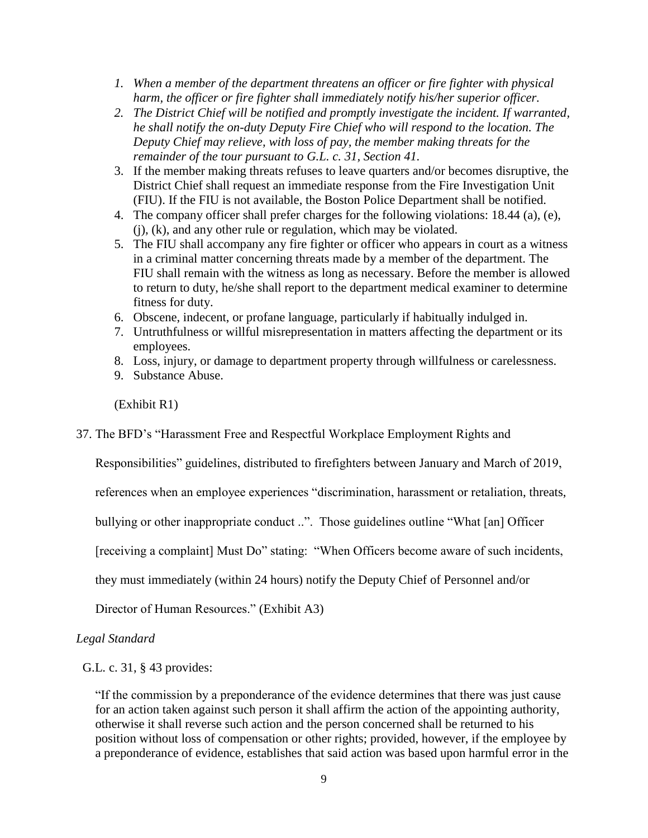- *1. When a member of the department threatens an officer or fire fighter with physical harm, the officer or fire fighter shall immediately notify his/her superior officer.*
- *2. The District Chief will be notified and promptly investigate the incident. If warranted, he shall notify the on-duty Deputy Fire Chief who will respond to the location. The Deputy Chief may relieve, with loss of pay, the member making threats for the remainder of the tour pursuant to G.L. c. 31, Section 41.*
- 3. If the member making threats refuses to leave quarters and/or becomes disruptive, the District Chief shall request an immediate response from the Fire Investigation Unit (FIU). If the FIU is not available, the Boston Police Department shall be notified.
- 4. The company officer shall prefer charges for the following violations: 18.44 (a), (e), (j), (k), and any other rule or regulation, which may be violated.
- 5. The FIU shall accompany any fire fighter or officer who appears in court as a witness in a criminal matter concerning threats made by a member of the department. The FIU shall remain with the witness as long as necessary. Before the member is allowed to return to duty, he/she shall report to the department medical examiner to determine fitness for duty.
- 6. Obscene, indecent, or profane language, particularly if habitually indulged in.
- 7. Untruthfulness or willful misrepresentation in matters affecting the department or its employees.
- 8. Loss, injury, or damage to department property through willfulness or carelessness.
- 9. Substance Abuse.

(Exhibit R1)

37. The BFD's "Harassment Free and Respectful Workplace Employment Rights and

Responsibilities" guidelines, distributed to firefighters between January and March of 2019,

references when an employee experiences "discrimination, harassment or retaliation, threats,

bullying or other inappropriate conduct ..". Those guidelines outline "What [an] Officer

[receiving a complaint] Must Do" stating: "When Officers become aware of such incidents,

they must immediately (within 24 hours) notify the Deputy Chief of Personnel and/or

Director of Human Resources." (Exhibit A3)

## *Legal Standard*

G.L. c. 31, § 43 provides:

"If the commission by a preponderance of the evidence determines that there was just cause for an action taken against such person it shall affirm the action of the appointing authority, otherwise it shall reverse such action and the person concerned shall be returned to his position without loss of compensation or other rights; provided, however, if the employee by a preponderance of evidence, establishes that said action was based upon harmful error in the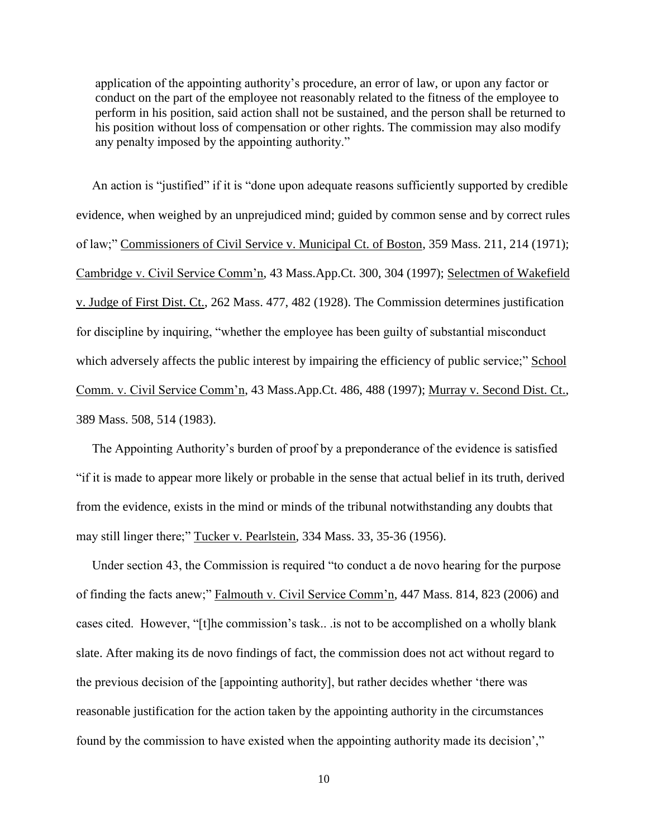application of the appointing authority's procedure, an error of law, or upon any factor or conduct on the part of the employee not reasonably related to the fitness of the employee to perform in his position, said action shall not be sustained, and the person shall be returned to his position without loss of compensation or other rights. The commission may also modify any penalty imposed by the appointing authority."

 An action is "justified" if it is "done upon adequate reasons sufficiently supported by credible evidence, when weighed by an unprejudiced mind; guided by common sense and by correct rules of law;" Commissioners of Civil Service v. Municipal Ct. of Boston, 359 Mass. 211, 214 (1971); Cambridge v. Civil Service Comm'n, 43 Mass.App.Ct. 300, 304 (1997); Selectmen of Wakefield v. Judge of First Dist. Ct., 262 Mass. 477, 482 (1928). The Commission determines justification for discipline by inquiring, "whether the employee has been guilty of substantial misconduct which adversely affects the public interest by impairing the efficiency of public service;" School Comm. v. Civil Service Comm'n, 43 Mass.App.Ct. 486, 488 (1997); Murray v. Second Dist. Ct., 389 Mass. 508, 514 (1983).

 The Appointing Authority's burden of proof by a preponderance of the evidence is satisfied "if it is made to appear more likely or probable in the sense that actual belief in its truth, derived from the evidence, exists in the mind or minds of the tribunal notwithstanding any doubts that may still linger there;" Tucker v. Pearlstein, 334 Mass. 33, 35-36 (1956).

 Under section 43, the Commission is required "to conduct a de novo hearing for the purpose of finding the facts anew;" Falmouth v. Civil Service Comm'n, 447 Mass. 814, 823 (2006) and cases cited. However, "[t]he commission's task.. .is not to be accomplished on a wholly blank slate. After making its de novo findings of fact, the commission does not act without regard to the previous decision of the [appointing authority], but rather decides whether 'there was reasonable justification for the action taken by the appointing authority in the circumstances found by the commission to have existed when the appointing authority made its decision',"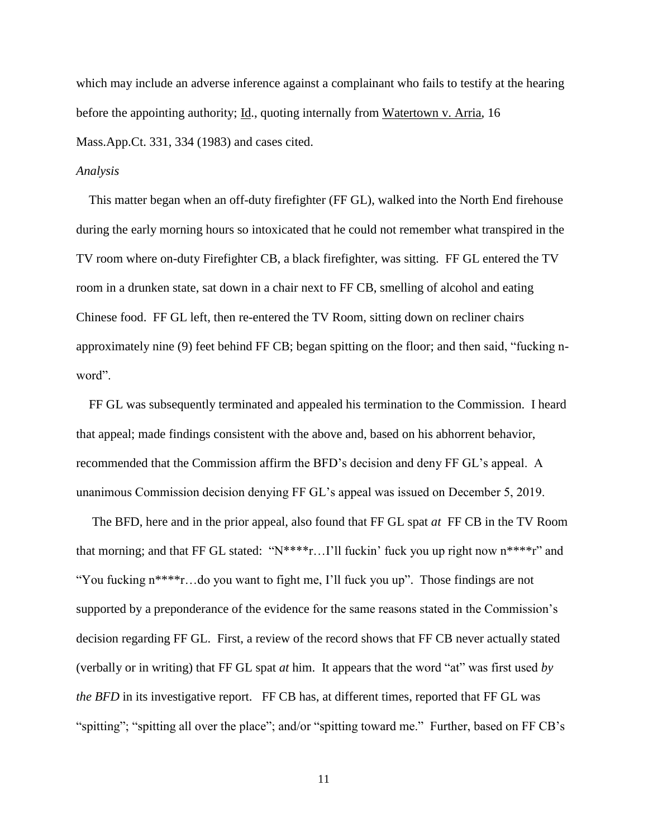which may include an adverse inference against a complainant who fails to testify at the hearing before the appointing authority; Id., quoting internally from Watertown v. Arria, 16 Mass.App.Ct. 331, 334 (1983) and cases cited.

### *Analysis*

 This matter began when an off-duty firefighter (FF GL), walked into the North End firehouse during the early morning hours so intoxicated that he could not remember what transpired in the TV room where on-duty Firefighter CB, a black firefighter, was sitting. FF GL entered the TV room in a drunken state, sat down in a chair next to FF CB, smelling of alcohol and eating Chinese food. FF GL left, then re-entered the TV Room, sitting down on recliner chairs approximately nine (9) feet behind FF CB; began spitting on the floor; and then said, "fucking nword".

 FF GL was subsequently terminated and appealed his termination to the Commission. I heard that appeal; made findings consistent with the above and, based on his abhorrent behavior, recommended that the Commission affirm the BFD's decision and deny FF GL's appeal. A unanimous Commission decision denying FF GL's appeal was issued on December 5, 2019.

 The BFD, here and in the prior appeal, also found that FF GL spat *at* FF CB in the TV Room that morning; and that FF GL stated: " $N***$ r...I'll fuckin' fuck you up right now  $n***$ r" and "You fucking n\*\*\*\*r…do you want to fight me, I'll fuck you up". Those findings are not supported by a preponderance of the evidence for the same reasons stated in the Commission's decision regarding FF GL. First, a review of the record shows that FF CB never actually stated (verbally or in writing) that FF GL spat *at* him. It appears that the word "at" was first used *by the BFD* in its investigative report. FF CB has, at different times, reported that FF GL was "spitting"; "spitting all over the place"; and/or "spitting toward me." Further, based on FF CB's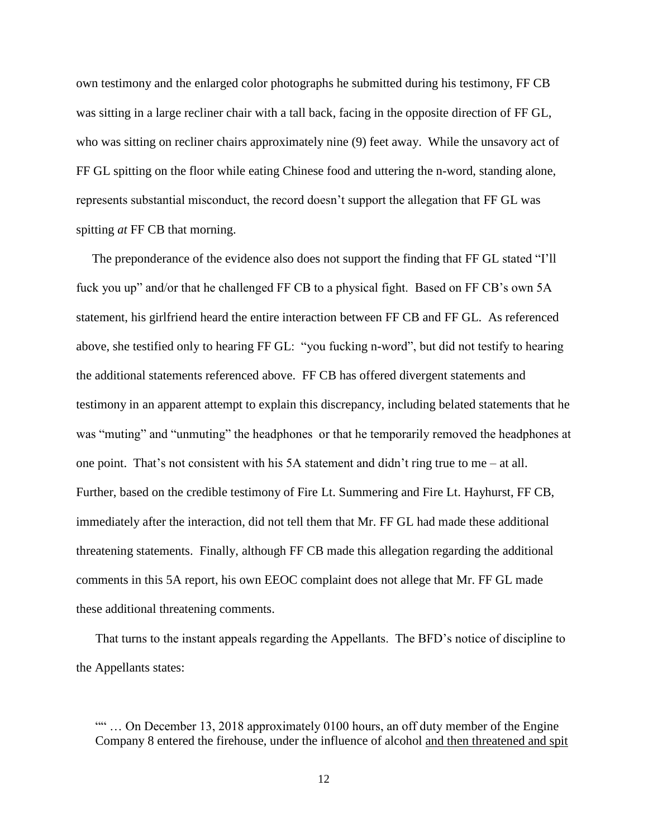own testimony and the enlarged color photographs he submitted during his testimony, FF CB was sitting in a large recliner chair with a tall back, facing in the opposite direction of FF GL, who was sitting on recliner chairs approximately nine (9) feet away. While the unsavory act of FF GL spitting on the floor while eating Chinese food and uttering the n-word, standing alone, represents substantial misconduct, the record doesn't support the allegation that FF GL was spitting *at* FF CB that morning.

 The preponderance of the evidence also does not support the finding that FF GL stated "I'll fuck you up" and/or that he challenged FF CB to a physical fight. Based on FF CB's own 5A statement, his girlfriend heard the entire interaction between FF CB and FF GL. As referenced above, she testified only to hearing FF GL: "you fucking n-word", but did not testify to hearing the additional statements referenced above. FF CB has offered divergent statements and testimony in an apparent attempt to explain this discrepancy, including belated statements that he was "muting" and "unmuting" the headphones or that he temporarily removed the headphones at one point. That's not consistent with his 5A statement and didn't ring true to me – at all. Further, based on the credible testimony of Fire Lt. Summering and Fire Lt. Hayhurst, FF CB, immediately after the interaction, did not tell them that Mr. FF GL had made these additional threatening statements. Finally, although FF CB made this allegation regarding the additional comments in this 5A report, his own EEOC complaint does not allege that Mr. FF GL made these additional threatening comments.

 That turns to the instant appeals regarding the Appellants. The BFD's notice of discipline to the Appellants states:

<sup>&</sup>quot;"... On December 13, 2018 approximately 0100 hours, an off duty member of the Engine Company 8 entered the firehouse, under the influence of alcohol and then threatened and spit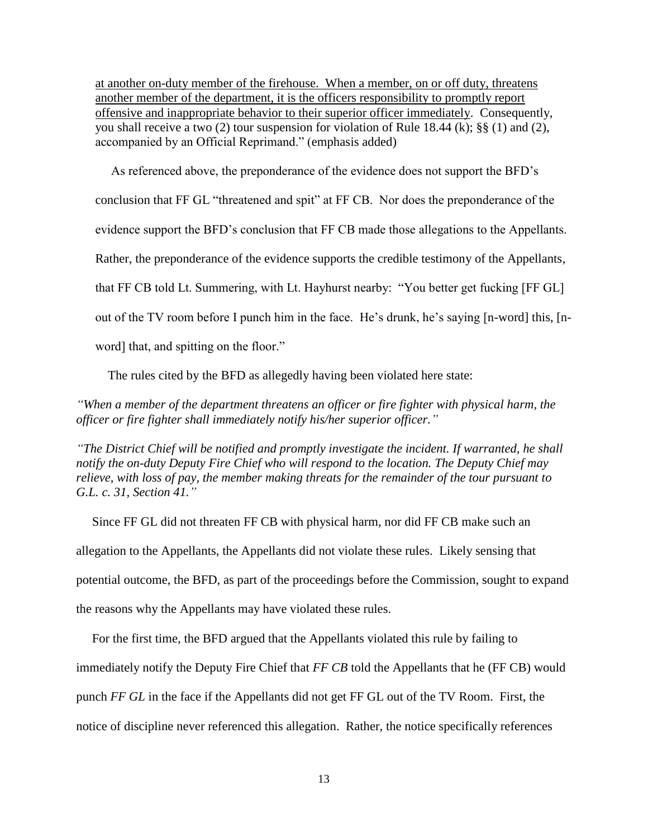at another on-duty member of the firehouse. When a member, on or off duty, threatens another member of the department, it is the officers responsibility to promptly report offensive and inappropriate behavior to their superior officer immediately. Consequently, you shall receive a two (2) tour suspension for violation of Rule 18.44 (k); §§ (1) and (2), accompanied by an Official Reprimand." (emphasis added)

 As referenced above, the preponderance of the evidence does not support the BFD's conclusion that FF GL "threatened and spit" at FF CB. Nor does the preponderance of the

evidence support the BFD's conclusion that FF CB made those allegations to the Appellants.

Rather, the preponderance of the evidence supports the credible testimony of the Appellants,

that FF CB told Lt. Summering, with Lt. Hayhurst nearby: "You better get fucking [FF GL]

out of the TV room before I punch him in the face. He's drunk, he's saying [n-word] this, [n-

word] that, and spitting on the floor."

The rules cited by the BFD as allegedly having been violated here state:

*"When a member of the department threatens an officer or fire fighter with physical harm, the officer or fire fighter shall immediately notify his/her superior officer."*

*"The District Chief will be notified and promptly investigate the incident. If warranted, he shall notify the on-duty Deputy Fire Chief who will respond to the location. The Deputy Chief may relieve, with loss of pay, the member making threats for the remainder of the tour pursuant to G.L. c. 31, Section 41."*

 Since FF GL did not threaten FF CB with physical harm, nor did FF CB make such an allegation to the Appellants, the Appellants did not violate these rules. Likely sensing that potential outcome, the BFD, as part of the proceedings before the Commission, sought to expand the reasons why the Appellants may have violated these rules.

 For the first time, the BFD argued that the Appellants violated this rule by failing to immediately notify the Deputy Fire Chief that *FF CB* told the Appellants that he (FF CB) would punch *FF GL* in the face if the Appellants did not get FF GL out of the TV Room. First, the notice of discipline never referenced this allegation. Rather, the notice specifically references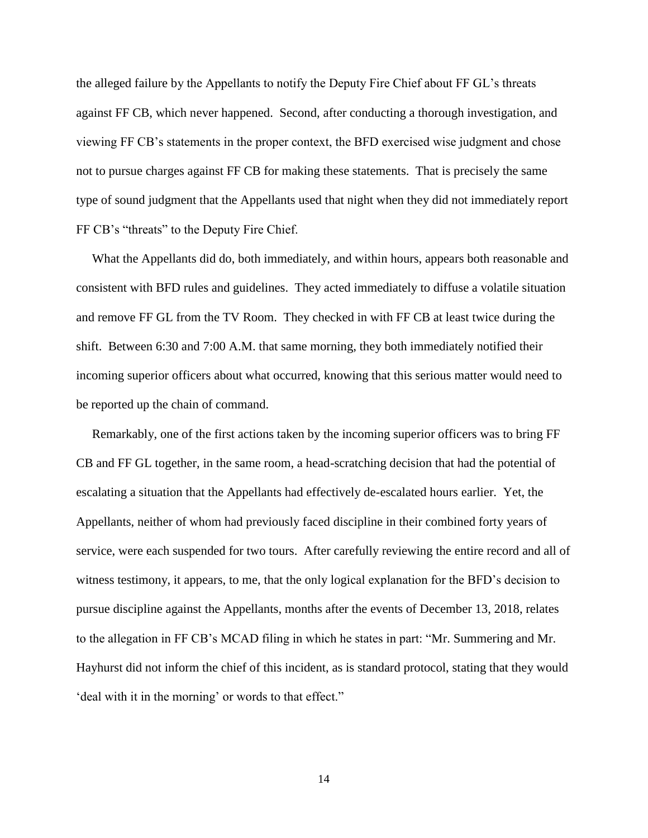the alleged failure by the Appellants to notify the Deputy Fire Chief about FF GL's threats against FF CB, which never happened. Second, after conducting a thorough investigation, and viewing FF CB's statements in the proper context, the BFD exercised wise judgment and chose not to pursue charges against FF CB for making these statements. That is precisely the same type of sound judgment that the Appellants used that night when they did not immediately report FF CB's "threats" to the Deputy Fire Chief.

 What the Appellants did do, both immediately, and within hours, appears both reasonable and consistent with BFD rules and guidelines. They acted immediately to diffuse a volatile situation and remove FF GL from the TV Room. They checked in with FF CB at least twice during the shift. Between 6:30 and 7:00 A.M. that same morning, they both immediately notified their incoming superior officers about what occurred, knowing that this serious matter would need to be reported up the chain of command.

 Remarkably, one of the first actions taken by the incoming superior officers was to bring FF CB and FF GL together, in the same room, a head-scratching decision that had the potential of escalating a situation that the Appellants had effectively de-escalated hours earlier. Yet, the Appellants, neither of whom had previously faced discipline in their combined forty years of service, were each suspended for two tours. After carefully reviewing the entire record and all of witness testimony, it appears, to me, that the only logical explanation for the BFD's decision to pursue discipline against the Appellants, months after the events of December 13, 2018, relates to the allegation in FF CB's MCAD filing in which he states in part: "Mr. Summering and Mr. Hayhurst did not inform the chief of this incident, as is standard protocol, stating that they would 'deal with it in the morning' or words to that effect."